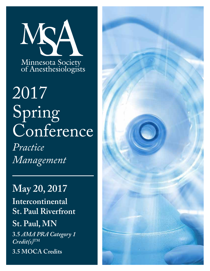

# 2017 Spring Conference

*Practice Management*

## **May 20, 2017**

**Intercontinental St. Paul Riverfront**

## **St. Paul, MN**

**3.5** *AMA PRA Category 1 Credit(s)***TM**

**3.5 MOCA Credits**

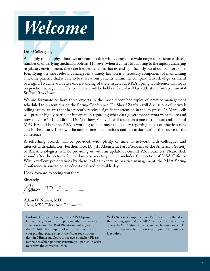

As highly trained physicians, we are comfortable with caring for a wide range of patients with any number of underlying medical problems. However, when it comes to adapting to the rapidly changing regulatory environment, there are frequently issues that extend significantly out of our comfort zone. Identifying the most relevant changes in a timely fashion is a necessary component of maintaining a healthy practice that is able to best serve our patients within the complex network of government oversight. To achieve a better understanding of these issues, our MSA Spring Conference will focus on practice management. The conference will be held on Saturday, May 20th at the Intercontinental St. Paul Riverfront.

We are fortunate to have three experts in the most recent hot topics of practice management scheduled to present during the Spring Conference. Dr. Sherif Zaafran will discuss out of network billing issues, an area that has recently received significant attention in the lay press. Dr. Marc Leib will present highly pertinent information regarding what data government payors want to see and how they use it. In addition, Dr. Matthew Popovich will speak on some of the nuts and bolts of MACRA and how the ASA is working to help meet the quality reporting needs of practices now and in the future. There will be ample time for questions and discussion during the course of the conference.

A refreshing brunch will be provided, with plenty of time to network with colleagues and interact with exhibitors. Furthermore, Dr. J.P. Abenstein, Past President of the American Society of Anesthesiologists, will be providing us with an update of current ASA business. Please stick around after the lectures for the business meeting, which includes the election of MSA Officers. With excellent presentations by these leading experts in practice management, the MSA Spring Conference is sure to be an educational and enjoyable day.

I look forward to seeing you there!

Sincerely,

Pedan D2:

**Adam D. Niesen, MD** Chair, MSA Education Committee

**Parking:** If you are driving to the MSA Spring Conference, please plan to park in either the attached Intercontinental St. Paul Riverfront parking ramp, or the Capitol City ramp off of 4th Street. To validate your parking, please stop at the MSA registration desk in Minnesota Court to receive a voucher. Please remember which parking structure you parked in order to receive the correct voucher.

**WiFi Access:** Complimentary WiFi access is offered in the meeting space at the MSA Spring Conference. To access the WiFi, simply open your web browser and click on the acceptance button once prompted. No passcode is required.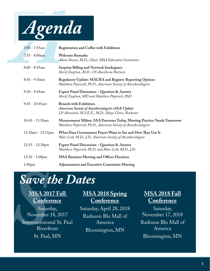

| $7:00 - 7:55$ am        | Registration and Coffee with Exhibitors                                                                                                              |
|-------------------------|------------------------------------------------------------------------------------------------------------------------------------------------------|
| $7:55 - 8:00am$         | <b>Welcome Remarks</b><br>Adam Niesen, M.D., Chair, MSA Education Committee                                                                          |
| $8:00 - 8:45$ am        | <b>Surprise Billing and Network Inadequacy</b><br>Sherif Zaafran, M.D., US Anesthesia Partners                                                       |
| $8:45 - 9:30$ am        | Regulatory Update: MACRA and Registry Reporting Options<br>Matthew Popovich, Ph.D., American Society of Anesthesiologists                            |
| $9:30 - 9:45$ am        | Expert Panel Discussion - Question & Answer<br>Sherif Zaafran, MD and Matthew Popovich, PhD                                                          |
| $9:45 - 10:45$ am       | <b>Brunch with Exhibitors</b><br><b>American Society of Anesthesiologists (ASA) Update</b><br>J.P. Abenstein, M.S.E.E., M.D., Mayo Clinic, Rochester |
| 10:45 - 11:30am         | Measurement Milieu: ASA Processes Today, Meeting Practice Needs Tomorrow<br>Matthew Popovich, Ph.D., American Society of Anesthesiologists           |
| $11:30$ am - $12:15$ pm | What Data Government Payers Want to See and How They Use It<br>Marc Leib, M.D., J.D., American Society of Anesthesiologists                          |
| $12:15 - 12:30$ pm      | Expert Panel Discussion - Question & Answer<br>Matthew Popovich, Ph.D. and Marc Leib, M.D., J.D.                                                     |
| $12:30 - 1:00$ pm       | <b>MSA Business Meeting and Officer Elections</b>                                                                                                    |
| 1:00 <sub>pm</sub>      | <b>Adjournment and Executive Committee Meeting</b>                                                                                                   |

# *Save the Dates*

## **MSA 2017 Fall Conference**

Save 1<br>
<u>MSA 20<br>
Confer</u><br>
Sature<br>
November<br>
Intercontinen Saturday, November 18, 2017 Intercontinental St. Paul Riverfront St. Paul, MN

### **MSA 2018 Spring Conference**

Saturday, April 28, 2018 Radisson Blu Mall of America Bloomington, MN

## **MSA 2018 Fall Conference**

Saturday, November 17, 2018 Radisson Blu Mall of America Bloomington, MN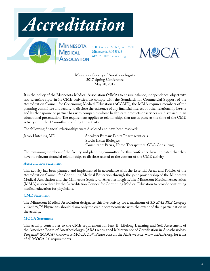



1300 Godward St. NE, Suite 2500 Minneapolis, MN 55413 612-378-1875 • mnmed.org



Minnesota Society of Anesthesiologists 2017 Spring Conference May 20, 2017

It is the policy of the Minnesota Medical Association (MMA) to ensure balance, independence, objectivity, and scientific rigor in its CME activities. To comply with the Standards for Commercial Support of the Accreditation Council for Continuing Medical Education (ACCME), the MMA requires members of the planning committee and faculty to disclose the existence of any financial interest or other relationship he/she and his/her spouse or partner has with companies whose health care products or services are discussed in an educational presentation. The requirement applies to relationships that are in place at the time of the CME activity or in the 12 months preceding the activity.

The following financial relationships were disclosed and have been resolved:

Jacob Hutchins, MD **Speakers Bureau:** Pacira Pharmaceuticals **Stock:** Insitu Biologics **Consultant:** Pacira, Heron Therapeutics, GLG Consulting

The remaining members of the faculty and planning committee for this conference have indicated that they have no relevant financial relationships to disclose related to the content of the CME activity.

#### **Accreditation Statement**

This activity has been planned and implemented in accordance with the Essential Areas and Policies of the Accreditation Council for Continuing Medical Education through the joint providership of the Minnesota Medical Association and the Minnesota Society of Anesthesiologists. The Minnesota Medical Association (MMA) is accredited by the Accreditation Council for Continuing Medical Education to provide continuing medical education for physicians.

#### **CME Statement**

The Minnesota Medical Association designates this live activity for a maximum of 3.5 *AMA PRA Category 1 Credit(s)*™.Physicians should claim only the credit commensurate with the extent of their participation in the activity.

#### **MOCA Statement**

This activity contributes to the CME requirement for Part II: Lifelong Learning and Self Assessment of the American Board of Anesthesiology's (ABA) redesigned Maintenance of Certification in Anesthesiology Program® (MOCA®), known as MOCA 2.0®. Please consult the ABA website, www.theABA.org, for a list of all MOCA 2.0 requirements.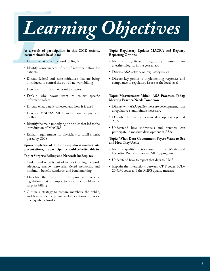# *LCOT*<br>As a result of participation<br>Learners should be able to:<br>CExplain what out-of network *Learning Objectives*

#### **As a result of participation in this CME activity, learners should be able to:**

- Explain what out-of network billing is
- Identify consequences of out-of-network billing for patients
- Discuss federal and state initiatives that are being introduced to control the out-of-network billing
- Describe information relevant to payors
- Explain why payors want to collect specific information/data
- Discuss what data is collected and how it is used
- Describe MACRA, MIPS and alternative payment methods
- Identify the main underlying principles that led to the introduction of MACRA
- Explain requirements for physicians to fulfill criteria posed by CMS

#### **Upon completion of the following educational activity presentations, the participant should be better able to:**

#### **Topic: Surprise Billing and Network Inadequacy**

- Understand what is out of network billing, network adequacy, narrow networks, tiered networks, and minimum benefit standards, and benchmarking
- Elucidate the nuances of the pros and cons of legislation that attempts to solve the problem of surprise billing
- Outline a strategy to prepare members, the public, and legislators for physician led solutions to tackle inadequate networks

#### **Topic: Regulatory Update: MACRA and Registry Reporting Options**

- Identify significant regulatory issues for anesthesiologists in the year ahead
- Discuss ASA activity on regulatory issues
- Discuss key points to implementing responses and compliance to regulatory issues at the local level

#### **Topic: Measurement Milieu: ASA Processes Today, Meeting Practice Needs Tomorrow**

- Discuss why ASA quality measure development, from a regulatory standpoint, is necessary
- Describe the quality measure development cycle at ASA
- Understand how individuals and practices can participate in measure development at ASA

#### **Topic: What Data Government Payers Want to See and How They Use It**

- Identify quality metrics used in the Meri-based Incentive Payment System (MIPS) program
- Understand how to report that data to CMS
- Explain the interactions between CPT codes, ICD-20-CM codes and the MIPS quality measure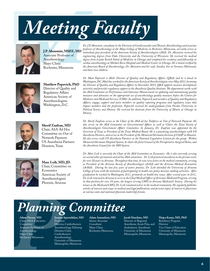



Associate Professor of Anesthesiology Mayo Clinic Rochester, Minnesota

*Dr. J.P. Abenstein, consultant in the Division of Cardiovascular and Thoracic Anesthesiology and associate professor of Anesthesiology at the Mayo College of Medicine in Rochester, Minnesota, currently serves as*  **J.P. Abenstein, MSEE, MD** <sup>1</sup>immediate past president of the American Society of Anesthesiologists (ASA). Dr. Abenstein received his *engineering degrees from Duke University and the University of Wisconsin. He received his medical degree from Loyola Stritch School of Medicine in Chicago and completed his residency and fellowship in cardiac anesthesiology at Michael Reese Hospital and Medical Center in Chicago. He is board certified by the American Board of Anesthesiology. Dr. Abenstein and his wife, Sandra, live in Oronoco, Minnesota, and have two children.*



**Matthew Popovich, PhD** Director of Quality and Regulatory Affairs American Society of Anesthesiologists Washington, D.C.



**Sherif Zaafran, MD** Chair, ASA Ad Hoc Committee on Out of Network Payment US Anesthesia Partners Houston, Texas



**Marc Leib, MD, JD** Chair, Committee on **Economics** American Society of Anesthesiologists Phoenix, Arizona

*Dr. Matt Popovich is ASA's Director of Quality and Regulatory Affairs (QRA) and he is based in Washington, DC. Matt has worked for the American Society of Anesthesiologists since May 2013, becoming the Director of Quality and Regulatory Affairs in November 2014. QRA supports measure development activities and provides regulatory support to the Anesthesia Quality Institute. The department works with the ASA Committee on Performance and Outcomes Measurement on updating and maintaining quality measures and advocates on the appropriate use of anesthesiology quality measures before the Centers for Medicare and Medicaid Services (CMS). In addition, Popovich and members of Quality and Regulatory Affairs, engage, support and assist members on quality reporting programs and regulatory issues that impact members and the profession. Popovich received his undergraduate from Purdue University in Political Science and History. He received his doctorate from the University of Illinois at Chicago in History.*

*Dr. Sherif Zaafran serves as the Chair of the ASA ad hoc Taskforce on Out of Network Payment. He also serves on the ASA Committee on Governmental Affairs as well as Chairs the Texas Society of Anesthesiologists Government Affairs Committee. In January, Dr. Zaafran was appointed by the Governor of Texas as President of the Texas Medical Board. He is a practicing anesthesiologist with US Anesthesia Partners, and serves as the President of the Memorial Hermann division of USAP in Houston. He also serves with US Anesthesia Partners as the National Legislative Liaison for the group. Within Memorial Hermann Hospital System, he chairs the Joint Council of the Perioperative Surgical Home, and the Anesthesia Council for the MH System.*

*Dr. Marc Leib is currently the Chair of the ASA Committee on Economics. He is also currently serving on several other permanent and ad hoc ASA committees. Dr. Leib practiced anesthesia in the private sector for over 20 years in Arizona. Throughout that time, he was very active in the medical community, serving as President of the Arizona Society of Anesthesiologist (AzSA) and the Arizona Medical Association (ArMA). During his last few years of active practice, Dr. Leib attended the University of Arizona College of Law with the intention of participating in health care policy decision-making activities. After graduation he worked in Washington, D.C., primarily on health law issues. After several years in D.C., Dr. Leib returned to Arizona to serve as the Chief Medical Officer of Arizona's Medicaid Program, serving in that position for over 10 years, the longest serving CMO in Arizona Medicaid's history. During his tenure as the Medicaid CMO, Dr. Leib remained active in the medical community. He regularly publishes articles of interest and essays in medical and legal publications and presents topics of interest to physicians at various state and national physician leadership forums.*

### *P Planning Committee*

**Adam Niesen, MD** Chair, MSA Education **Committee** Assistant Professor of Anesthesiology Mayo Clinic Rochester, Minnesota

**Ioanna Apostolidou, MD** Professor Director, Cardiothoracic Anesthesiology Fellowup Division Chief, Cardiothoracic Anesthesiology University of Minnesota Minneapolis, Minnesota

**Adam Amundson, MD** Senior Associate Consultant Mayo Clinic Rochester, Minnesota

**Jacob Hutchins, MD**

Director of Regional Anesthesia, Acute Pain, and Ambulatory Anesthesia University of Minnesota Minneapolis, Minnesota

**Mojca Konia, MD, PhD** Residency Program Director Vice Chair of Education University of Minnesota Minneapolis, Minnesota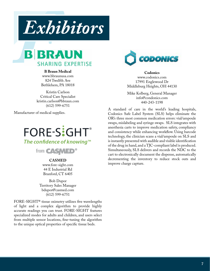



#### **B Braun Medical**

www.bbraunusa.com 824 Twelfth Ave Bethlehem, PA 18018

Kristin Carlson Critical Care Specialist kristin.carlson@bbraun.com (612) 599-6751

Manufacturer of medical supplies.

## FORE-SiGHT® The confidence of knowing<sup>™</sup>



#### **CASMED**

www.fore-sight.com 44 E Industrial Rd Branford, CT 6405

Bob Dupor Territory Sales Manager bdupor@casmed.com (612) 599-6751

FORE-SIGHT® tissue oximetry utilizes five wavelengths of light and a complex algorithm to provide highly accurate readings you can trust. FORE-SIGHT features specialized modes for adults and children, and users select from multiple sensor locations, fine-tuning the algorithm to the unique optical properties of specific tissue beds.



**Codonics** www.codonics.com 17991 Englewood Dr Middleburg Heights, OH 44130

Mike Kolberg, General Manager info@condonics.com 440-243-1198

A standard of care in the world's leading hospitals, Codonics Safe Label System (SLS) helps eliminate the OR's three most common medication errors: vial/ampoule swaps, mislabeling and syringe swaps. SLS integrates with anesthesia carts to improve medication safety, compliancy and consistency while enhancing workflow. Using barcode technology, the clinician scans a vial/ampoule on SLS and is instantly presented with audible and visible identification of the drug in hand, and a TJC-compliant label is produced. Simultaneously, SLS delivers and records the NDC to the cart to electronically document the dispense, automatically decrementing the inventory to reduce stock outs and improve charge capture.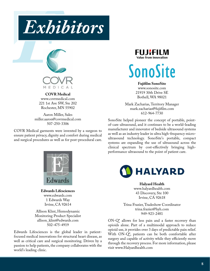



**COVR Medical** www.covrmedical.com 221 1st Ave SW, Ste 202 Rochester, MN 55902

Aaron Miller, Sales miller.aaron@covrmedical.com 507-250-3306

COVR Medical garments were invented by a surgeon to ensure patient privacy, dignity and comfort during medical and surgical procedures as well as for post-procedural care.



**Edwards Lifesciences** www.edwards.com 1 Edwards Way Irvine, CA 92614

Allison Klint, Hemodynamic Monitoring Product Specialist allison\_klint@edwards.com 502-475-4919

Edwards Lifesciences is the global leader in patientfocused medical innovations for structural heart disease, as well as critical care and surgical monitoring. Driven by a passion to help patients, the company collaborates with the world's leading clinic.



# SonoSite

**Fujifilm SonoSite**

www.sonosite.com 21919 30th Drive SE Bothell, WA 98021

Mark Zacharias, Territory Manager mark.zacharias@fujifilm.com 612-964-7730

SonoSite helped pioneer the concept of portable, pointof-care ultrasound, and it continues to be a world-leading manufacturer and innovator of bedside ultrasound systems as well as an industry leader in ultra high-frequency microultrasound technology. SonoSite's portable, compact systems are expanding the use of ultrasound across the clinical spectrum by cost-effectively bringing highperformance ultrasound to the point of patient care.



**Halyard Health** www.halyardhealth.com 43 Discovery, Ste 100 Irvine, CA 92618

Trina Frazier, Tradeshow Coordinator trina.frazier@hyh.com 949-923-2481

ON-Q\* allows for less pain and a faster recovery than opioids alone. Part of a multimodal approach to reduce opioid use, it provides over 3 days of predictable pain relief. With ON-Q\*, patients can be both comfortable after surgery and capable of activity while they efficiently move through the recovery process. For more information, please visit www.Halyardhealth.com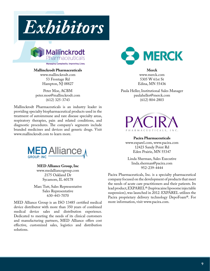



#### **Mallinckrodt Pharmaceuticals**

www.mallinckrodt.com 53 Frontage Rd Hampton, NJ 08827

Peter Moe, ACBM peter.moe@mallinckrodt.com (612) 325-3743

Mallinckrodt Pharmaceuticals is an industry leader in providing specialty biopharmaceutical products used in the treatment of autoimmune and rare disease specialty areas, respiratory therapies, pain and related conditions, and diagnostic procedures. The company's segments include branded medicines and devices and generic drugs. Visit www.mallinckrodt.com to learn more.



**MED Alliance Group, Inc** www.medalliancegroup.com 2175 Oakland Dr Sycamore, IL 60178

Marc Tutt, Sales Representative Sales Representative 630-443-7070

MED Alliance Group is an ISO 13485 certified medical device distributor with more than 350 years of combined medical device sales and distribution experience. Dedicated to meeting the needs of its clinical customers and manufacturing partners, MED Alliance offers cost effective, customized sales, logistics and distribution solutions.



**Merck** www.merck.com 5305 W 61st St Edina, MN 55436

Paula Heller, Institutional Sales Manager paulaheller@merck.com (612) 804-2803



**Pacira Pharmaceuticals** www.exparel.com, www.pacira.com 12423 Sandy Point Rd Eden Prairie, MN 55347

Linda Sherman, Sales Executive linda.sherman@pacira.com 952-239-4444

Pacira Pharmaceuticals, Inc. is a specialty pharmaceutical company focused on the development of products that meet the needs of acute care practitioners and their patients. Its lead product, EXPAREL® (bupivacaine liposome injectable suspension), was launched in 2012. EXPAREL utilizes the Pacira proprietary delivery technology DepoFoam®. For more information, visit www.pacira.com.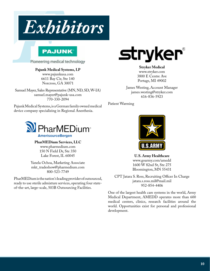

#### **Pajunk Medical Systems, LP**

www.pajunkusa.com 6611 Bay Cir, Ste 140 Norcross, GA 30071

Samuel Mayer, Sales Representative (MN, ND, SD, W-IA) samuel.mayer@pajunk-usa.com 770-330-2094

Pajunk Medical Systems, is a German family owned medical device company specializing in Regional Anesthesia.



**PharMEDium Services, LLC**

www.pharmedium.com 150 N Field Dr, Ste 350 Lake Forest, IL 60045

Yanela Ochoa, Marketing Associate mkt\_tradeshow@pharmedium.com 800-523-7749

PharMEDium is the nation's leading provider of outsourced, ready to use sterile admixture services, operating four stateof-the-art, large-scale, 503B Outsourcing Facilities.



**Stryker Medical** www.stryker.com 3800 E Centre Ave Portage, MI 49002

James Westing, Account Manager james.westing@stryker.com 616-836-5923

Patient Warming



**U.S. Army Healthcare** www.goarmy.com/amedd 1600 W 82nd St, Ste 275 Bloomington, MN 55431

CPT Jatara S. Ross, Recruiting Officer In Charge jatara.s.ross.mil@mail.mil 952-854-4406

One of the largest health care systems in the world, Army Medical Department, AMEDD operates more than 600 medical centers, clinics, research facilities around the world. Opportunities exist for personal and professional development.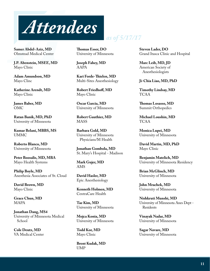

**Samer Abdel-Aziz, MD**  Olmstead Medical Center

**J.P. Abenstein, MSEE, MD**  Mayo Clinic

**Adam Amundson, MD**  Mayo Clinc

**Katherine Arendt, MD**  Mayo Clinic

**James Baber, MD**  OMC

**Ratan Banik, MD, PhD**  University of Minnesota

**Kumar Belani, MBBS, MS**  UMMC

**Roberto Blanco, MD**  University of Minnesota

**Peter Boosalis, MD, MBA**  Mayo Health Systems

**Philip Boyle, MD**  Anesthesia Associates of St. Cloud

**David Brown, MD**  Mayo Clinic

**Grace Chun, MD**  MAPA

**Jonathan Dang, MS4**  University of Minnesota Medical School

**Cole Deutz, MD**  VA Medical Center **Thomas Esser, DO**  University of Minnesota

*as of 5/17/17*

**Joseph Fahey, MD**  AAPA

**Kari Forde-Thielen, MD**  Multi-Sites Anesthesiology

**Robert Friedhoff, MD**  Mayo Clinic

**Oscar Garcia, MD**  University of Minnesota

**Robert Gauthier, MD**  MASS

**Barbara Gold, MD**  University of Minnesota Physicians/M Health

**Jonathan Gombola, MD**  St. Mary's Hospital - Madison

**Mark Gujer, MD**  AMS

**David Hasler, MD**  Epic Anesthesiology

**Kenneth Holmen, MD**  CentraCare Health

**Tae Kim, MD**  University of Minnesota

**Mojca Konia, MD**  University of Minnesota

**Todd Kor, MD**  Mayo Clinic

**Brent Kudak, MD**  UMP

**Steven Lader, DO**  Grand Itasca Clinic and Hospital

**Marc Leib, MD, JD**  American Society of Anesthesiologists

#### **Ji-Chia Liao, MD, PhD**

**Timothy Lindsay, MD**  TCAA

**Thomas Losasso, MD**  Summit Orthopedics

**Michael Loushin, MD**  TCAA

**Monica Lupei, MD**  University of Minnesota

**David Martin, MD, PhD**  Mayo Clinic

**Benjamin Matelich, MD**  University of Minnesota Residency

**Brian McGlinch, MD**  University of Minnesota

**John Mrachek, MD**  University of Minnesota

**Nishkruti Munshi, MD**  University of Minnesota Anes Dept - Residents

**Vinayak Nadar, MD**  University of Minnesota

**Sagar Navare, MD**  University of Minnesota